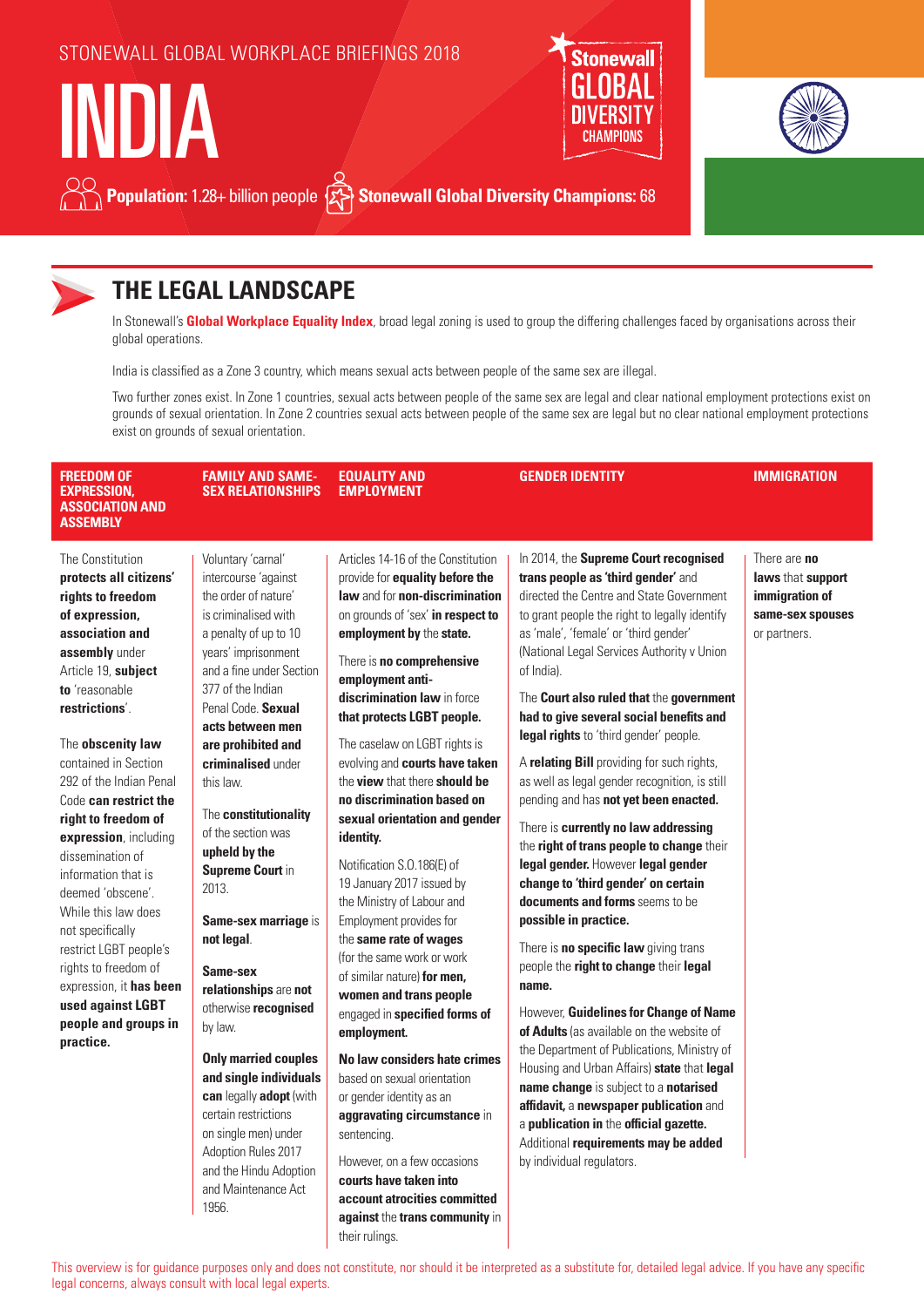### STONEWALL GLOBAL WORKPLACE BRIEFINGS 2018





**Population:** 1.28+ billion people  $\{x\}$  Stonewall Global Diversity Champions: 68



INDIA

## **THE LEGAL LANDSCAPE**

In Stonewall's **Global Workplace Equality Index**, broad legal zoning is used to group the differing challenges faced by organisations across their global operations.

India is classified as a Zone 3 country, which means sexual acts between people of the same sex are illegal.

Two further zones exist. In Zone 1 countries, sexual acts between people of the same sex are legal and clear national employment protections exist on grounds of sexual orientation. In Zone 2 countries sexual acts between people of the same sex are legal but no clear national employment protections exist on grounds of sexual orientation.

| <b>FREEDOM OF</b><br><b>EXPRESSION,</b><br><b>ASSOCIATION AND</b><br><b>ASSEMBLY</b>                                                                                                                                                                                                                                                                                                                                                                                                                                                                                                        | <b>FAMILY AND SAME-</b><br><b>SEX RELATIONSHIPS</b>                                                                                                                                                                                                                                                                                                                                                                                                                                                                                                                                                                                                                                                                                   | <b>EQUALITY AND</b><br><b>EMPLOYMENT</b>                                                                                                                                                                                                                                                                                                                                                                                                                                                                                                                                                                                                                                                                                                                                                                                                                                                                                                                                                                                                                 | <b>GENDER IDENTITY</b>                                                                                                                                                                                                                                                                                                                                                                                                                                                                                                                                                                                                                                                                                                                                                                                                                                                                                                                                                                                                                                                                                                                                                                                                                                                         | <b>IMMIGRATION</b>                                                                             |
|---------------------------------------------------------------------------------------------------------------------------------------------------------------------------------------------------------------------------------------------------------------------------------------------------------------------------------------------------------------------------------------------------------------------------------------------------------------------------------------------------------------------------------------------------------------------------------------------|---------------------------------------------------------------------------------------------------------------------------------------------------------------------------------------------------------------------------------------------------------------------------------------------------------------------------------------------------------------------------------------------------------------------------------------------------------------------------------------------------------------------------------------------------------------------------------------------------------------------------------------------------------------------------------------------------------------------------------------|----------------------------------------------------------------------------------------------------------------------------------------------------------------------------------------------------------------------------------------------------------------------------------------------------------------------------------------------------------------------------------------------------------------------------------------------------------------------------------------------------------------------------------------------------------------------------------------------------------------------------------------------------------------------------------------------------------------------------------------------------------------------------------------------------------------------------------------------------------------------------------------------------------------------------------------------------------------------------------------------------------------------------------------------------------|--------------------------------------------------------------------------------------------------------------------------------------------------------------------------------------------------------------------------------------------------------------------------------------------------------------------------------------------------------------------------------------------------------------------------------------------------------------------------------------------------------------------------------------------------------------------------------------------------------------------------------------------------------------------------------------------------------------------------------------------------------------------------------------------------------------------------------------------------------------------------------------------------------------------------------------------------------------------------------------------------------------------------------------------------------------------------------------------------------------------------------------------------------------------------------------------------------------------------------------------------------------------------------|------------------------------------------------------------------------------------------------|
| The Constitution<br>protects all citizens'<br>rights to freedom<br>of expression,<br>association and<br>assembly under<br>Article 19, subject<br>to 'reasonable<br>restrictions'.<br>The <b>obscenity law</b><br>contained in Section<br>292 of the Indian Penal<br>Code can restrict the<br>right to freedom of<br>expression, including<br>dissemination of<br>information that is<br>deemed 'obscene'.<br>While this law does<br>not specifically<br>restrict LGBT people's<br>rights to freedom of<br>expression, it has been<br>used against LGBT<br>people and groups in<br>practice. | Voluntary 'carnal'<br>intercourse 'against<br>the order of nature'<br>is criminalised with<br>a penalty of up to 10<br>years' imprisonment<br>and a fine under Section<br>377 of the Indian<br>Penal Code. Sexual<br>acts between men<br>are prohibited and<br>criminalised under<br>this law.<br>The constitutionality<br>of the section was<br>upheld by the<br><b>Supreme Court in</b><br>2013.<br>Same-sex marriage is<br>not legal.<br>Same-sex<br>relationships are not<br>otherwise recognised<br>by law.<br><b>Only married couples</b><br>and single individuals<br>can legally adopt (with<br>certain restrictions<br>on single men) under<br>Adoption Rules 2017<br>and the Hindu Adoption<br>and Maintenance Act<br>1956. | Articles 14-16 of the Constitution<br>provide for <b>equality before the</b><br>law and for non-discrimination<br>on grounds of 'sex' in respect to<br>employment by the state.<br>There is no comprehensive<br>employment anti-<br>discrimination law in force<br>that protects LGBT people.<br>The caselaw on LGBT rights is<br>evolving and courts have taken<br>the view that there should be<br>no discrimination based on<br>sexual orientation and gender<br>identity.<br>Notification S.O.186(E) of<br>19 January 2017 issued by<br>the Ministry of Labour and<br>Employment provides for<br>the same rate of wages<br>(for the same work or work<br>of similar nature) for men,<br>women and trans people<br>engaged in specified forms of<br>employment.<br>No law considers hate crimes<br>based on sexual orientation<br>or gender identity as an<br>aggravating circumstance in<br>sentencing.<br>However, on a few occasions<br>courts have taken into<br>account atrocities committed<br>against the trans community in<br>their rulings. | In 2014, the Supreme Court recognised<br>trans people as 'third gender' and<br>directed the Centre and State Government<br>to grant people the right to legally identify<br>as 'male', 'female' or 'third gender'<br>(National Legal Services Authority v Union<br>of India).<br>The Court also ruled that the government<br>had to give several social benefits and<br>legal rights to 'third gender' people.<br>A relating Bill providing for such rights,<br>as well as legal gender recognition, is still<br>pending and has not yet been enacted.<br>There is currently no law addressing<br>the right of trans people to change their<br>legal gender. However legal gender<br>change to 'third gender' on certain<br>documents and forms seems to be<br>possible in practice.<br>There is <b>no specific law</b> giving trans<br>people the right to change their legal<br>name.<br>However, Guidelines for Change of Name<br>of Adults (as available on the website of<br>the Department of Publications, Ministry of<br>Housing and Urban Affairs) state that legal<br>name change is subject to a notarised<br>affidavit, a newspaper publication and<br>a publication in the official gazette.<br>Additional requirements may be added<br>by individual regulators. | There are <b>no</b><br>laws that support<br>immigration of<br>same-sex spouses<br>or partners. |

This overview is for guidance purposes only and does not constitute, nor should it be interpreted as a substitute for, detailed legal advice. If you have any specific legal concerns, always consult with local legal experts.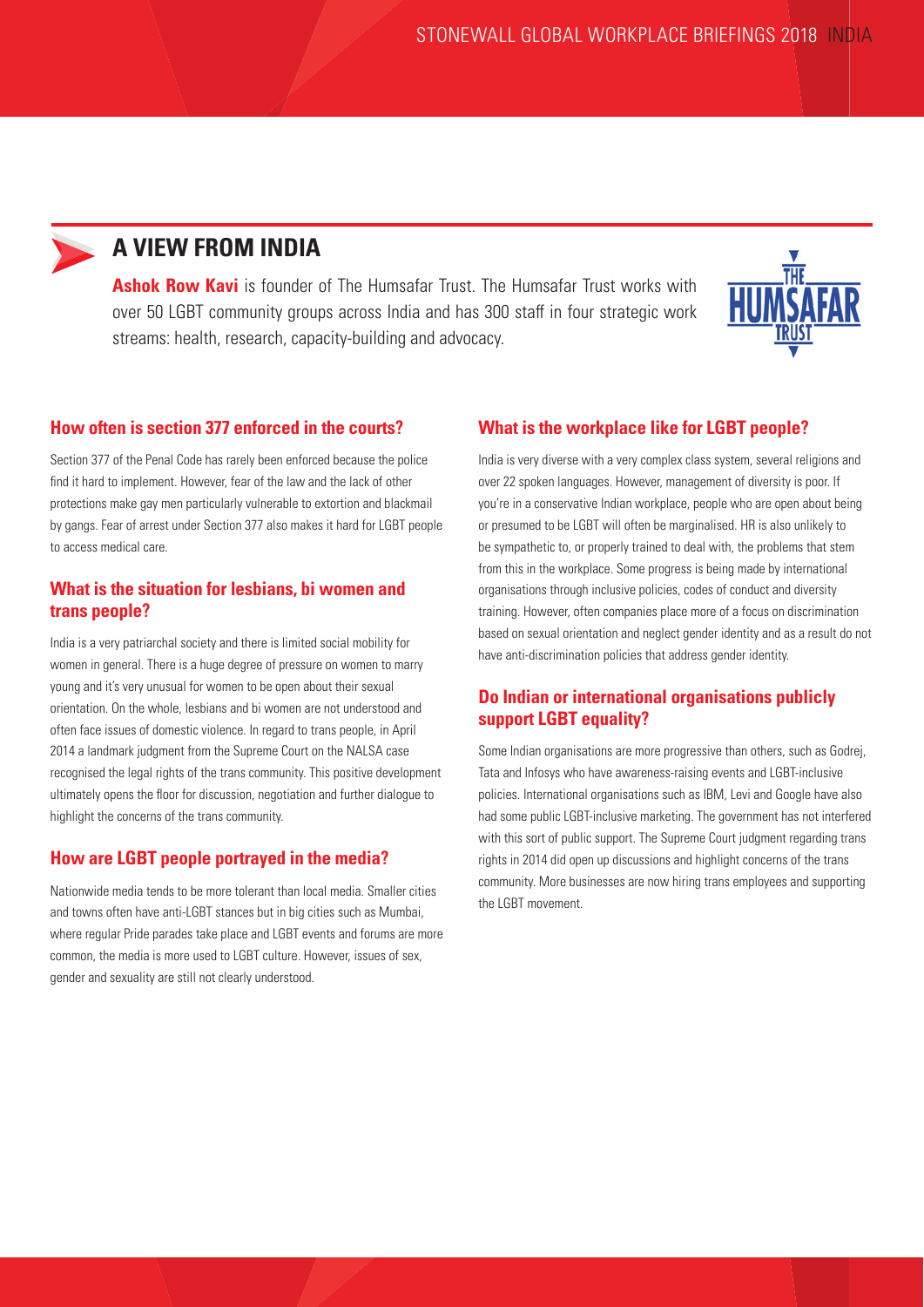

### **A VIEW FROM INDIA**

**Ashok Row Kavi** is founder of The Humsafar Trust. The Humsafar Trust works with over 50 LGBT community groups across India and has 300 staff in four strategic work streams: health, research, capacity-building and advocacy.



#### **How often is section 377 enforced in the courts?**

Section 377 of the Penal Code has rarely been enforced because the police find it hard to implement. However, fear of the law and the lack of other protections make gay men particularly vulnerable to extortion and blackmail by gangs. Fear of arrest under Section 377 also makes it hard for LGBT people to access medical care.

#### **What is the situation for lesbians, bi women and trans people?**

India is a very patriarchal society and there is limited social mobility for women in general. There is a huge degree of pressure on women to marry young and it's very unusual for women to be open about their sexual orientation. On the whole, lesbians and bi women are not understood and often face issues of domestic violence. In regard to trans people, in April 2014 a landmark judgment from the Supreme Court on the NALSA case recognised the legal rights of the trans community. This positive development ultimately opens the floor for discussion, negotiation and further dialogue to highlight the concerns of the trans community.

#### **How are LGBT people portrayed in the media?**

Nationwide media tends to be more tolerant than local media. Smaller cities and towns often have anti-LGBT stances but in big cities such as Mumbai, where regular Pride parades take place and LGBT events and forums are more common, the media is more used to LGBT culture. However, issues of sex, gender and sexuality are still not clearly understood.

#### **What is the workplace like for LGBT people?**

India is very diverse with a very complex class system, several religions and over 22 spoken languages. However, management of diversity is poor. If you're in a conservative Indian workplace, people who are open about being or presumed to be LGBT will often be marginalised. HR is also unlikely to be sympathetic to, or properly trained to deal with, the problems that stem from this in the workplace. Some progress is being made by international organisations through inclusive policies, codes of conduct and diversity training. However, often companies place more of a focus on discrimination based on sexual orientation and neglect gender identity and as a result do not have anti-discrimination policies that address gender identity.

### **Do Indian or international organisations publicly support LGBT equality?**

Some Indian organisations are more progressive than others, such as Godrej, Tata and Infosys who have awareness-raising events and LGBT-inclusive policies. International organisations such as IBM, Levi and Google have also had some public LGBT-inclusive marketing. The government has not interfered with this sort of public support. The Supreme Court judgment regarding trans rights in 2014 did open up discussions and highlight concerns of the trans community. More businesses are now hiring trans employees and supporting the LGBT movement.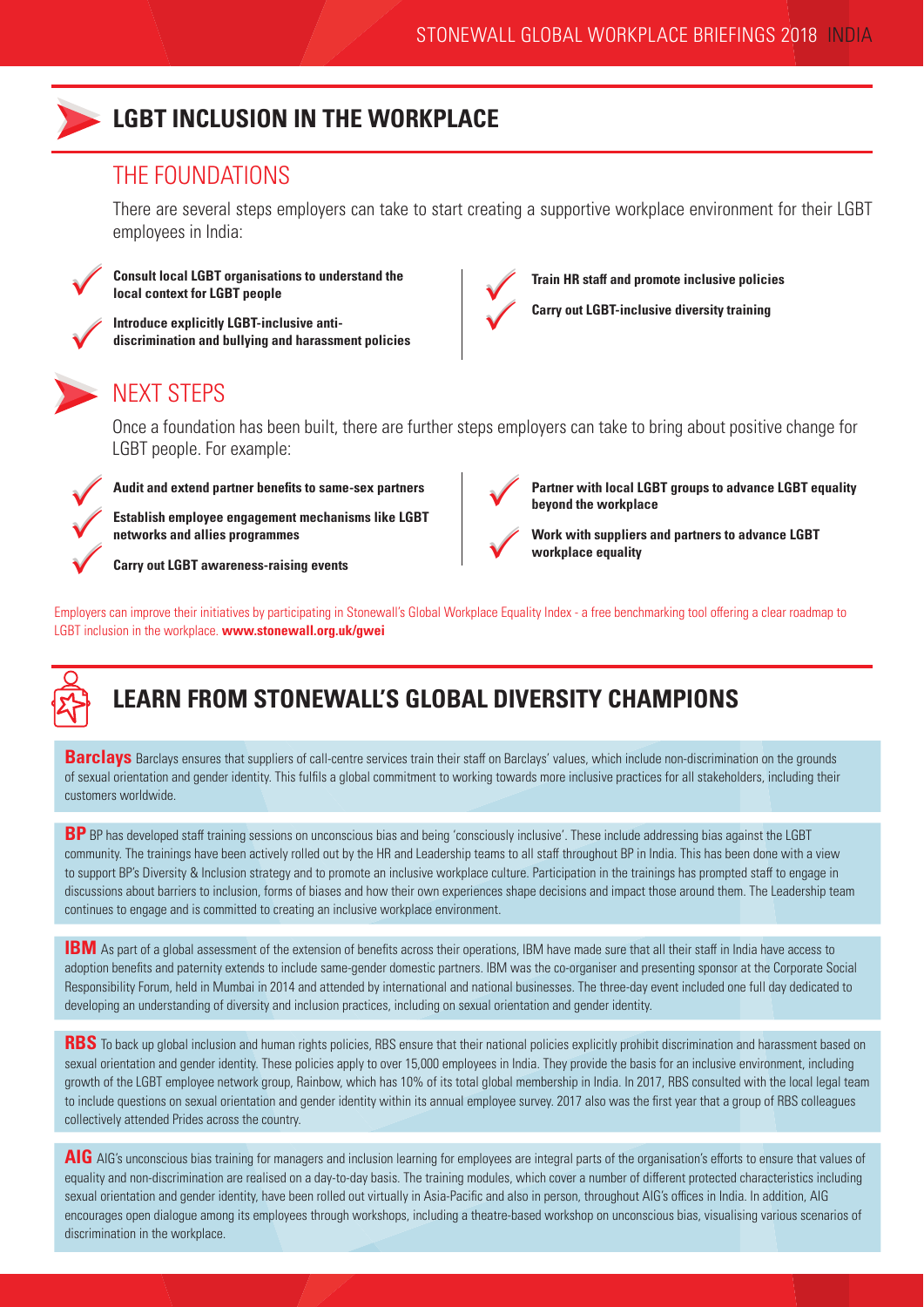

### **LGBT INCLUSION IN THE WORKPLACE**

### THE FOUNDATIONS

There are several steps employers can take to start creating a supportive workplace environment for their LGBT employees in India:



 $\checkmark$ 

 $\checkmark$ 

**Consult local LGBT organisations to understand the local context for LGBT people**

**Introduce explicitly LGBT-inclusive antidiscrimination and bullying and harassment policies**



**Train HR staff and promote inclusive policies**



## NEXT STEPS

Once a foundation has been built, there are further steps employers can take to bring about positive change for LGBT people. For example:



**Audit and extend partner benefits to same-sex partners**

**Establish employee engagement mechanisms like LGBT networks and allies programmes**

**Carry out LGBT awareness-raising events**



**Partner with local LGBT groups to advance LGBT equality beyond the workplace**

**Work with suppliers and partners to advance LGBT workplace equality**

Employers can improve their initiatives by participating in Stonewall's Global Workplace Equality Index - a free benchmarking tool offering a clear roadmap to LGBT inclusion in the workplace. **www.stonewall.org.uk/gwei**



# **LEARN FROM STONEWALL'S GLOBAL DIVERSITY CHAMPIONS**

**Barclays** Barclays ensures that suppliers of call-centre services train their staff on Barclays' values, which include non-discrimination on the grounds of sexual orientation and gender identity. This fulfils a global commitment to working towards more inclusive practices for all stakeholders, including their customers worldwide.

**BP** BP has developed staff training sessions on unconscious bias and being 'consciously inclusive'. These include addressing bias against the LGBT community. The trainings have been actively rolled out by the HR and Leadership teams to all staff throughout BP in India. This has been done with a view to support BP's Diversity & Inclusion strategy and to promote an inclusive workplace culture. Participation in the trainings has prompted staff to engage in discussions about barriers to inclusion, forms of biases and how their own experiences shape decisions and impact those around them. The Leadership team continues to engage and is committed to creating an inclusive workplace environment.

**IBM** As part of a global assessment of the extension of benefits across their operations, IBM have made sure that all their staff in India have access to adoption benefits and paternity extends to include same-gender domestic partners. IBM was the co-organiser and presenting sponsor at the Corporate Social Responsibility Forum, held in Mumbai in 2014 and attended by international and national businesses. The three-day event included one full day dedicated to developing an understanding of diversity and inclusion practices, including on sexual orientation and gender identity.

**RBS** To back up global inclusion and human rights policies, RBS ensure that their national policies explicitly prohibit discrimination and harassment based on sexual orientation and gender identity. These policies apply to over 15,000 employees in India. They provide the basis for an inclusive environment, including growth of the LGBT employee network group, Rainbow, which has 10% of its total global membership in India. In 2017, RBS consulted with the local legal team to include questions on sexual orientation and gender identity within its annual employee survey. 2017 also was the first year that a group of RBS colleagues collectively attended Prides across the country.

AIG AIG's unconscious bias training for managers and inclusion learning for employees are integral parts of the organisation's efforts to ensure that values of equality and non-discrimination are realised on a day-to-day basis. The training modules, which cover a number of different protected characteristics including sexual orientation and gender identity, have been rolled out virtually in Asia-Pacific and also in person, throughout AIG's offices in India. In addition, AIG encourages open dialogue among its employees through workshops, including a theatre-based workshop on unconscious bias, visualising various scenarios of discrimination in the workplace.